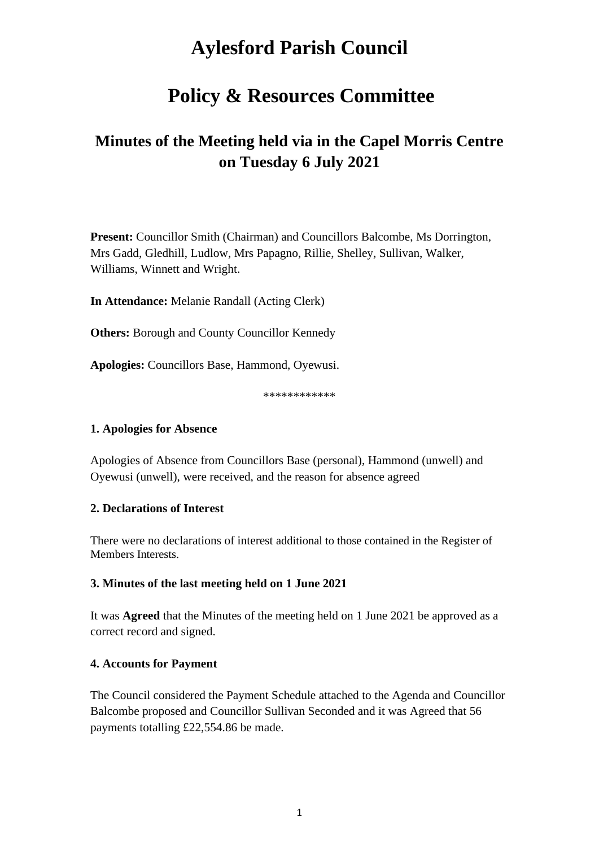# **Aylesford Parish Council**

## **Policy & Resources Committee**

## **Minutes of the Meeting held via in the Capel Morris Centre on Tuesday 6 July 2021**

**Present:** Councillor Smith (Chairman) and Councillors Balcombe, Ms Dorrington, Mrs Gadd, Gledhill, Ludlow, Mrs Papagno, Rillie, Shelley, Sullivan, Walker, Williams, Winnett and Wright.

**In Attendance:** Melanie Randall (Acting Clerk)

**Others:** Borough and County Councillor Kennedy

**Apologies:** Councillors Base, Hammond, Oyewusi.

\*\*\*\*\*\*\*\*\*\*\*\*

#### **1. Apologies for Absence**

Apologies of Absence from Councillors Base (personal), Hammond (unwell) and Oyewusi (unwell), were received, and the reason for absence agreed

#### **2. Declarations of Interest**

There were no declarations of interest additional to those contained in the Register of Members Interests.

#### **3. Minutes of the last meeting held on 1 June 2021**

It was **Agreed** that the Minutes of the meeting held on 1 June 2021 be approved as a correct record and signed.

#### **4. Accounts for Payment**

The Council considered the Payment Schedule attached to the Agenda and Councillor Balcombe proposed and Councillor Sullivan Seconded and it was Agreed that 56 payments totalling £22,554.86 be made.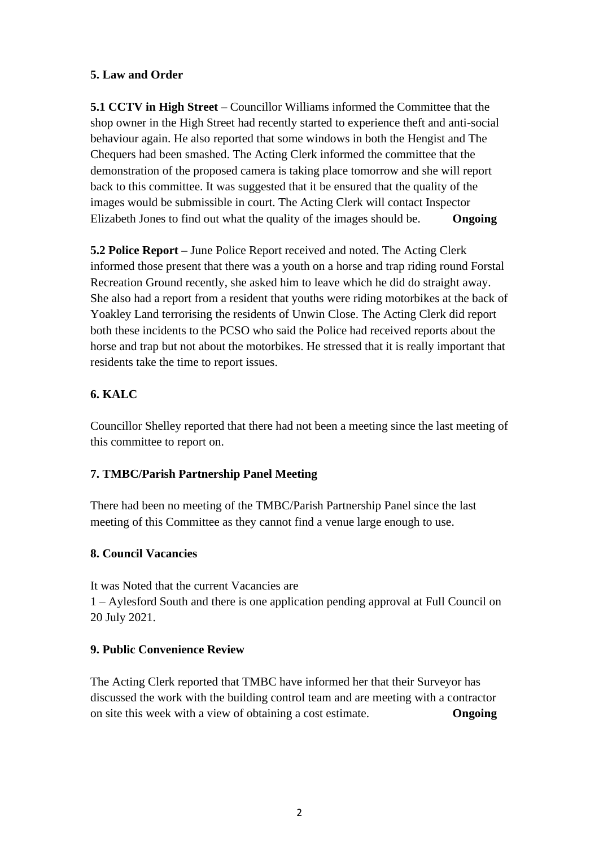## **5. Law and Order**

**5.1 CCTV in High Street** – Councillor Williams informed the Committee that the shop owner in the High Street had recently started to experience theft and anti-social behaviour again. He also reported that some windows in both the Hengist and The Chequers had been smashed. The Acting Clerk informed the committee that the demonstration of the proposed camera is taking place tomorrow and she will report back to this committee. It was suggested that it be ensured that the quality of the images would be submissible in court. The Acting Clerk will contact Inspector Elizabeth Jones to find out what the quality of the images should be. **Ongoing**

**5.2 Police Report –** June Police Report received and noted. The Acting Clerk informed those present that there was a youth on a horse and trap riding round Forstal Recreation Ground recently, she asked him to leave which he did do straight away. She also had a report from a resident that youths were riding motorbikes at the back of Yoakley Land terrorising the residents of Unwin Close. The Acting Clerk did report both these incidents to the PCSO who said the Police had received reports about the horse and trap but not about the motorbikes. He stressed that it is really important that residents take the time to report issues.

## **6. KALC**

Councillor Shelley reported that there had not been a meeting since the last meeting of this committee to report on.

## **7. TMBC/Parish Partnership Panel Meeting**

There had been no meeting of the TMBC/Parish Partnership Panel since the last meeting of this Committee as they cannot find a venue large enough to use.

## **8. Council Vacancies**

It was Noted that the current Vacancies are 1 – Aylesford South and there is one application pending approval at Full Council on 20 July 2021.

## **9. Public Convenience Review**

The Acting Clerk reported that TMBC have informed her that their Surveyor has discussed the work with the building control team and are meeting with a contractor on site this week with a view of obtaining a cost estimate. **Ongoing**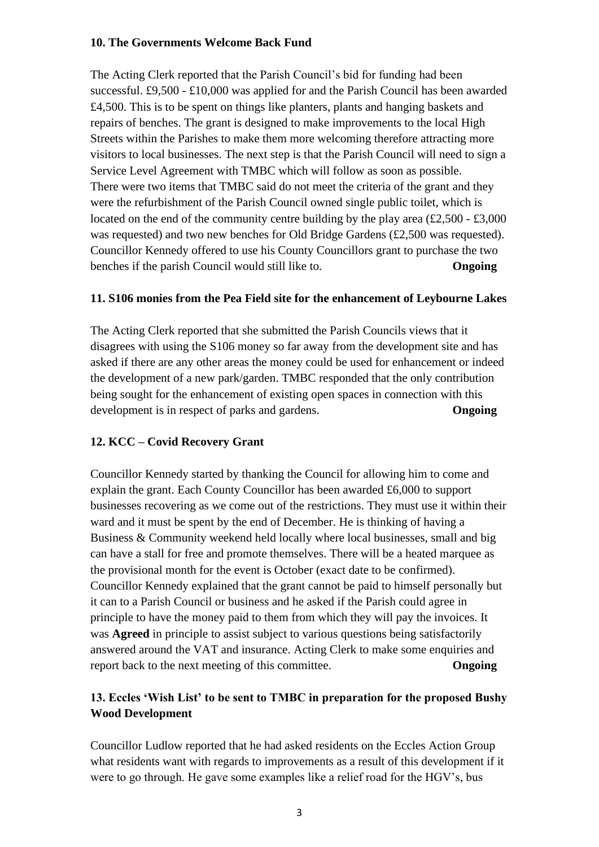#### **10. The Governments Welcome Back Fund**

The Acting Clerk reported that the Parish Council's bid for funding had been successful. £9,500 - £10,000 was applied for and the Parish Council has been awarded £4,500. This is to be spent on things like planters, plants and hanging baskets and repairs of benches. The grant is designed to make improvements to the local High Streets within the Parishes to make them more welcoming therefore attracting more visitors to local businesses. The next step is that the Parish Council will need to sign a Service Level Agreement with TMBC which will follow as soon as possible. There were two items that TMBC said do not meet the criteria of the grant and they were the refurbishment of the Parish Council owned single public toilet, which is located on the end of the community centre building by the play area  $(\text{\pounds}2,500 - \text{\pounds}3,000)$ was requested) and two new benches for Old Bridge Gardens (£2,500 was requested). Councillor Kennedy offered to use his County Councillors grant to purchase the two benches if the parish Council would still like to. **Ongoing**

#### **11. S106 monies from the Pea Field site for the enhancement of Leybourne Lakes**

The Acting Clerk reported that she submitted the Parish Councils views that it disagrees with using the S106 money so far away from the development site and has asked if there are any other areas the money could be used for enhancement or indeed the development of a new park/garden. TMBC responded that the only contribution being sought for the enhancement of existing open spaces in connection with this development is in respect of parks and gardens. **Ongoing**

#### **12. KCC – Covid Recovery Grant**

Councillor Kennedy started by thanking the Council for allowing him to come and explain the grant. Each County Councillor has been awarded £6,000 to support businesses recovering as we come out of the restrictions. They must use it within their ward and it must be spent by the end of December. He is thinking of having a Business & Community weekend held locally where local businesses, small and big can have a stall for free and promote themselves. There will be a heated marquee as the provisional month for the event is October (exact date to be confirmed). Councillor Kennedy explained that the grant cannot be paid to himself personally but it can to a Parish Council or business and he asked if the Parish could agree in principle to have the money paid to them from which they will pay the invoices. It was **Agreed** in principle to assist subject to various questions being satisfactorily answered around the VAT and insurance. Acting Clerk to make some enquiries and report back to the next meeting of this committee. **Ongoing**

## **13. Eccles 'Wish List' to be sent to TMBC in preparation for the proposed Bushy Wood Development**

Councillor Ludlow reported that he had asked residents on the Eccles Action Group what residents want with regards to improvements as a result of this development if it were to go through. He gave some examples like a relief road for the HGV's, bus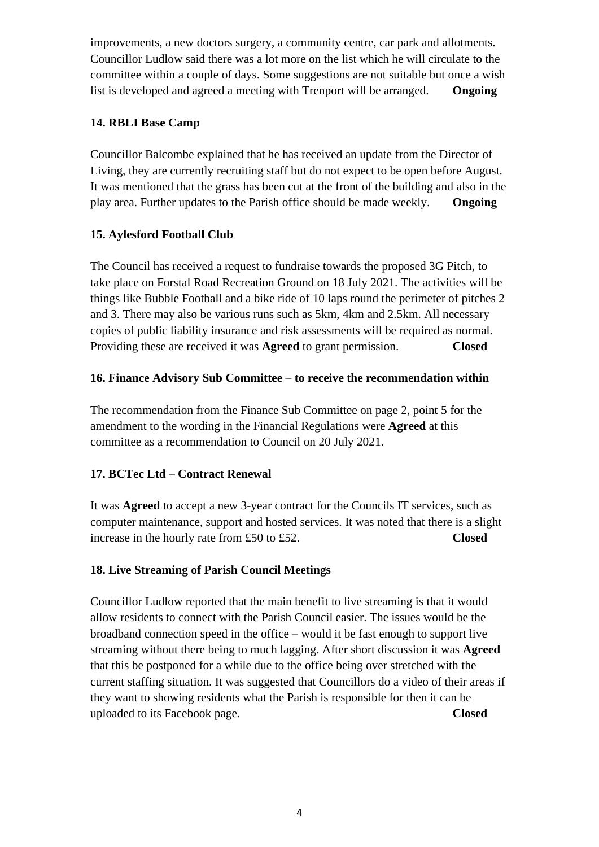improvements, a new doctors surgery, a community centre, car park and allotments. Councillor Ludlow said there was a lot more on the list which he will circulate to the committee within a couple of days. Some suggestions are not suitable but once a wish list is developed and agreed a meeting with Trenport will be arranged. **Ongoing**

## **14. RBLI Base Camp**

Councillor Balcombe explained that he has received an update from the Director of Living, they are currently recruiting staff but do not expect to be open before August. It was mentioned that the grass has been cut at the front of the building and also in the play area. Further updates to the Parish office should be made weekly. **Ongoing**

## **15. Aylesford Football Club**

The Council has received a request to fundraise towards the proposed 3G Pitch, to take place on Forstal Road Recreation Ground on 18 July 2021. The activities will be things like Bubble Football and a bike ride of 10 laps round the perimeter of pitches 2 and 3. There may also be various runs such as 5km, 4km and 2.5km. All necessary copies of public liability insurance and risk assessments will be required as normal. Providing these are received it was **Agreed** to grant permission. **Closed**

## **16. Finance Advisory Sub Committee – to receive the recommendation within**

The recommendation from the Finance Sub Committee on page 2, point 5 for the amendment to the wording in the Financial Regulations were **Agreed** at this committee as a recommendation to Council on 20 July 2021.

## **17. BCTec Ltd – Contract Renewal**

It was **Agreed** to accept a new 3-year contract for the Councils IT services, such as computer maintenance, support and hosted services. It was noted that there is a slight increase in the hourly rate from £50 to £52. **Closed** 

## **18. Live Streaming of Parish Council Meetings**

Councillor Ludlow reported that the main benefit to live streaming is that it would allow residents to connect with the Parish Council easier. The issues would be the broadband connection speed in the office – would it be fast enough to support live streaming without there being to much lagging. After short discussion it was **Agreed**  that this be postponed for a while due to the office being over stretched with the current staffing situation. It was suggested that Councillors do a video of their areas if they want to showing residents what the Parish is responsible for then it can be uploaded to its Facebook page. **Closed**